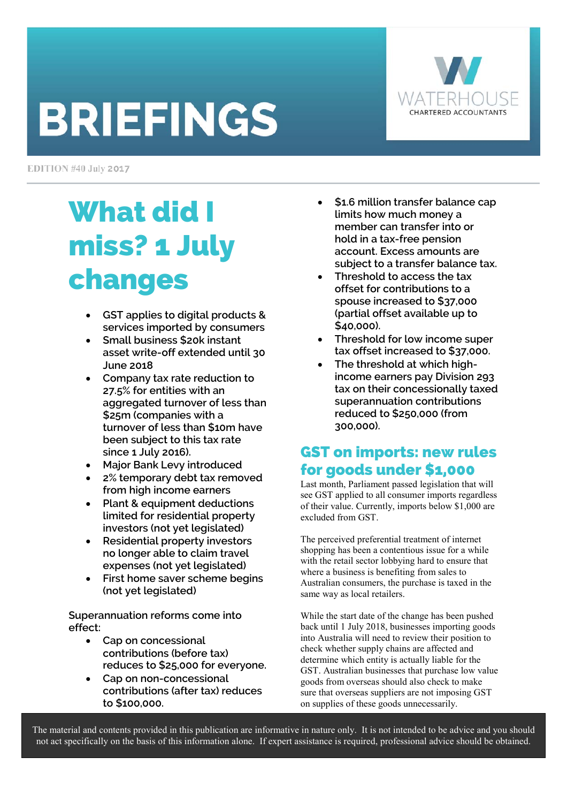# **BRIEFINGS**



EDITION #40 July 2017

# What did I miss? 1 July changes

- **GST applies to digital products & services imported by consumers**
- **Small business \$20k instant asset write-off extended until 30 June 2018**
- **Company tax rate reduction to 27.5% for entities with an aggregated turnover of less than \$25m (companies with a turnover of less than \$10m have been subject to this tax rate since 1 July 2016).**
- **Major Bank Levy introduced**
- **2% temporary debt tax removed from high income earners**
- **Plant & equipment deductions limited for residential property investors (not yet legislated)**
- **Residential property investors no longer able to claim travel expenses (not yet legislated)**
- **First home saver scheme begins (not yet legislated)**

**Superannuation reforms come into effect:** 

- **Cap on concessional contributions (before tax) reduces to \$25,000 for everyone.**
- **Cap on non-concessional contributions (after tax) reduces to \$100,000.**
- **\$1.6 million transfer balance cap limits how much money a member can transfer into or hold in a tax-free pension account. Excess amounts are subject to a transfer balance tax.**
- **Threshold to access the tax offset for contributions to a spouse increased to \$37,000 (partial offset available up to \$40,000).**
- **Threshold for low income super tax offset increased to \$37,000.**
- **The threshold at which highincome earners pay Division 293 tax on their concessionally taxed superannuation contributions reduced to \$250,000 (from 300,000).**

# GST on imports: new rules for goods under \$1,000

Last month, Parliament passed legislation that will see GST applied to all consumer imports regardless of their value. Currently, imports below \$1,000 are excluded from GST.

The perceived preferential treatment of internet shopping has been a contentious issue for a while with the retail sector lobbying hard to ensure that where a business is benefiting from sales to Australian consumers, the purchase is taxed in the same way as local retailers.

While the start date of the change has been pushed back until 1 July 2018, businesses importing goods into Australia will need to review their position to check whether supply chains are affected and determine which entity is actually liable for the GST. Australian businesses that purchase low value goods from overseas should also check to make sure that overseas suppliers are not imposing GST on supplies of these goods unnecessarily.

The material and contents provided in this publication are informative in nature only. It is not intended to be advice and you should not act specifically on the basis of this information alone. If expert assistance is required, professional advice should be obtained.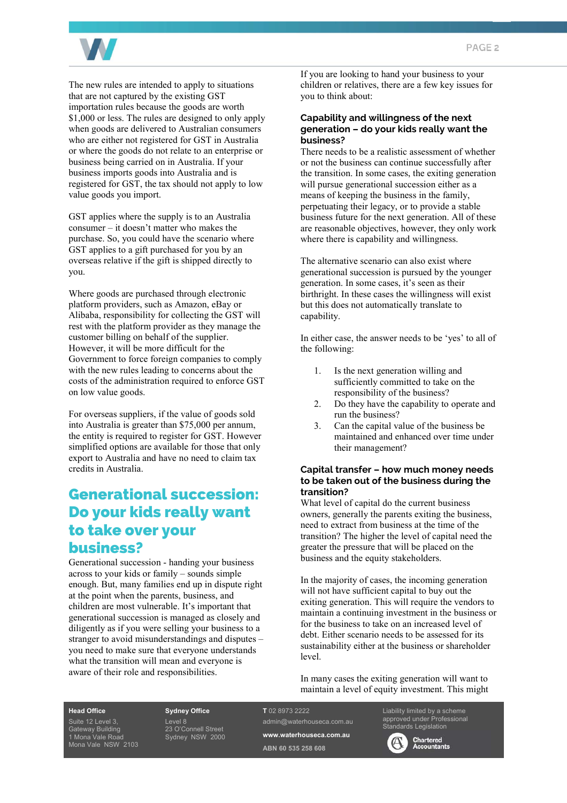

The new rules are intended to apply to situations that are not captured by the existing GST importation rules because the goods are worth \$1,000 or less. The rules are designed to only apply when goods are delivered to Australian consumers who are either not registered for GST in Australia or where the goods do not relate to an enterprise or business being carried on in Australia. If your business imports goods into Australia and is registered for GST, the tax should not apply to low value goods you import.

GST applies where the supply is to an Australia consumer – it doesn't matter who makes the purchase. So, you could have the scenario where GST applies to a gift purchased for you by an overseas relative if the gift is shipped directly to you.

Where goods are purchased through electronic platform providers, such as Amazon, eBay or Alibaba, responsibility for collecting the GST will rest with the platform provider as they manage the customer billing on behalf of the supplier. However, it will be more difficult for the Government to force foreign companies to comply with the new rules leading to concerns about the costs of the administration required to enforce GST on low value goods.

For overseas suppliers, if the value of goods sold into Australia is greater than \$75,000 per annum, the entity is required to register for GST. However simplified options are available for those that only export to Australia and have no need to claim tax credits in Australia.

### Generational succession: Do your kids really want to take over your business?

Generational succession - handing your business across to your kids or family – sounds simple enough. But, many families end up in dispute right at the point when the parents, business, and children are most vulnerable. It's important that generational succession is managed as closely and diligently as if you were selling your business to a stranger to avoid misunderstandings and disputes – you need to make sure that everyone understands what the transition will mean and everyone is aware of their role and responsibilities.

If you are looking to hand your business to your children or relatives, there are a few key issues for you to think about:

#### **Capability and willingness of the next generation – do your kids really want the business?**

There needs to be a realistic assessment of whether or not the business can continue successfully after the transition. In some cases, the exiting generation will pursue generational succession either as a means of keeping the business in the family, perpetuating their legacy, or to provide a stable business future for the next generation. All of these are reasonable objectives, however, they only work where there is capability and willingness.

The alternative scenario can also exist where generational succession is pursued by the younger generation. In some cases, it's seen as their birthright. In these cases the willingness will exist but this does not automatically translate to capability.

In either case, the answer needs to be 'yes' to all of the following:

- 1. Is the next generation willing and sufficiently committed to take on the responsibility of the business?
- 2. Do they have the capability to operate and run the business?
- 3. Can the capital value of the business be maintained and enhanced over time under their management?

#### **Capital transfer – how much money needs to be taken out of the business during the transition?**

What level of capital do the current business owners, generally the parents exiting the business, need to extract from business at the time of the transition? The higher the level of capital need the greater the pressure that will be placed on the business and the equity stakeholders.

In the majority of cases, the incoming generation will not have sufficient capital to buy out the exiting generation. This will require the vendors to maintain a continuing investment in the business or for the business to take on an increased level of debt. Either scenario needs to be assessed for its sustainability either at the business or shareholder level.

In many cases the exiting generation will want to maintain a level of equity investment. This might

#### **Head Office**

Suite 12 Level 3, Gateway Building 1 Mona Vale Road Mona Vale NSW 2103 **Sydney Office**  Level 8 23 O'Connell Street Sydney NSW 2000

#### **T** 02 8973 2222

admin@waterhouseca.com.au **www.waterhouseca.com.au ABN 60 535 258 608** 

Liability limited by a scheme approved under Professional dards Legislation



Chartered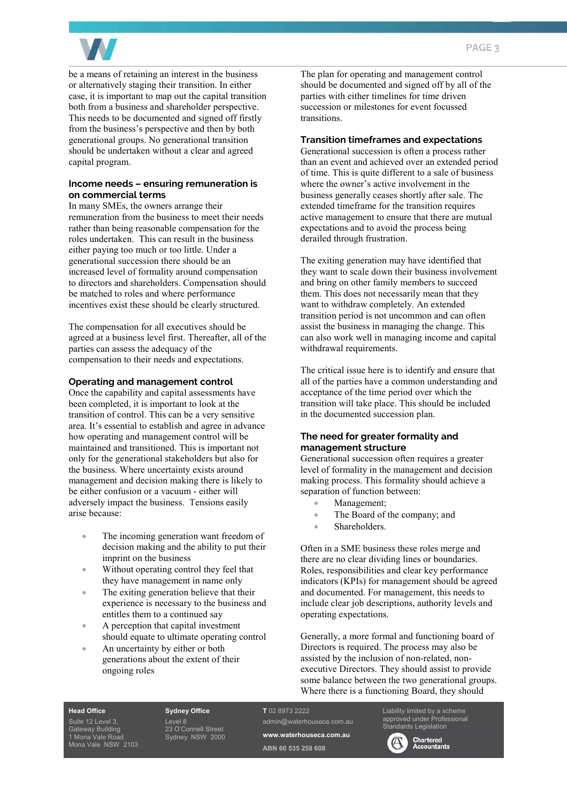

be a means of retaining an interest in the business or alternatively staging their transition. In either case, it is important to map out the capital transition both from a business and shareholder perspective. This needs to be documented and signed off firstly from the business's perspective and then by both generational groups. No generational transition should be undertaken without a clear and agreed capital program.

#### **Income needs – ensuring remuneration is on commercial terms**

In many SMEs, the owners arrange their remuneration from the business to meet their needs rather than being reasonable compensation for the roles undertaken. This can result in the business either paying too much or too little. Under a generational succession there should be an increased level of formality around compensation to directors and shareholders. Compensation should be matched to roles and where performance incentives exist these should be clearly structured.

The compensation for all executives should be agreed at a business level first. Thereafter, all of the parties can assess the adequacy of the compensation to their needs and expectations.

#### **Operating and management control**

Once the capability and capital assessments have been completed, it is important to look at the transition of control. This can be a very sensitive area. It's essential to establish and agree in advance how operating and management control will be maintained and transitioned. This is important not only for the generational stakeholders but also for the business. Where uncertainty exists around management and decision making there is likely to be either confusion or a vacuum - either will adversely impact the business. Tensions easily arise because:

- The incoming generation want freedom of decision making and the ability to put their imprint on the business
- Without operating control they feel that they have management in name only
- The exiting generation believe that their experience is necessary to the business and entitles them to a continued say
- A perception that capital investment should equate to ultimate operating control
- An uncertainty by either or both generations about the extent of their ongoing roles

The plan for operating and management control should be documented and signed off by all of the parties with either timelines for time driven succession or milestones for event focussed transitions.

#### **Transition timeframes and expectations**

Generational succession is often a process rather than an event and achieved over an extended period of time. This is quite different to a sale of business where the owner's active involvement in the business generally ceases shortly after sale. The extended timeframe for the transition requires active management to ensure that there are mutual expectations and to avoid the process being derailed through frustration.

The exiting generation may have identified that they want to scale down their business involvement and bring on other family members to succeed them. This does not necessarily mean that they want to withdraw completely. An extended transition period is not uncommon and can often assist the business in managing the change. This can also work well in managing income and capital withdrawal requirements.

The critical issue here is to identify and ensure that all of the parties have a common understanding and acceptance of the time period over which the transition will take place. This should be included in the documented succession plan.

#### **The need for greater formality and management structure**

Generational succession often requires a greater level of formality in the management and decision making process. This formality should achieve a separation of function between:

- Management;
- The Board of the company; and
- Shareholders.

Often in a SME business these roles merge and there are no clear dividing lines or boundaries. Roles, responsibilities and clear key performance indicators (KPIs) for management should be agreed and documented. For management, this needs to include clear job descriptions, authority levels and operating expectations.

Generally, a more formal and functioning board of Directors is required. The process may also be assisted by the inclusion of non-related, nonexecutive Directors. They should assist to provide some balance between the two generational groups. Where there is a functioning Board, they should

#### **Head Office**

Suite 12 Level 3, Gateway Building 1 Mona Vale Road Mona Vale NSW 2103 **Sydney Office**  Level 8 23 O'Connell Street Sydney NSW 2000

#### **T** 02 8973 2222

admin@waterhouseca.com.au **www.waterhouseca.com.au ABN 60 535 258 608** 

approved under Professional Standards Legislation



Liability limited by a scheme